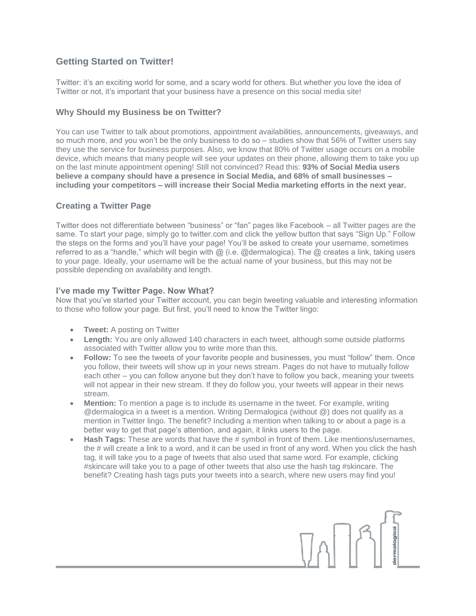# **Getting Started on Twitter!**

Twitter: it's an exciting world for some, and a scary world for others. But whether you love the idea of Twitter or not, it's important that your business have a presence on this social media site!

## **Why Should my Business be on Twitter?**

You can use Twitter to talk about promotions, appointment availabilities, announcements, giveaways, and so much more, and you won't be the only business to do so – studies show that 56% of Twitter users say they use the service for business purposes. Also, we know that 80% of Twitter usage occurs on a mobile device, which means that many people will see your updates on their phone, allowing them to take you up on the last minute appointment opening! Still not convinced? Read this: **93% of Social Media users believe a company should have a presence in Social Media, and 68% of small businesses – including your competitors – will increase their Social Media marketing efforts in the next year.**

## **Creating a Twitter Page**

Twitter does not differentiate between "business" or "fan" pages like Facebook – all Twitter pages are the same. To start your page, simply go to twitter.com and click the yellow button that says "Sign Up." Follow the steps on the forms and you'll have your page! You'll be asked to create your username, sometimes referred to as a "handle," which will begin with @ (i.e. @dermalogica). The @ creates a link, taking users to your page. Ideally, your username will be the actual name of your business, but this may not be possible depending on availability and length.

### **I've made my Twitter Page. Now What?**

Now that you've started your Twitter account, you can begin tweeting valuable and interesting information to those who follow your page. But first, you'll need to know the Twitter lingo:

- **Tweet:** A posting on Twitter
- **Length:** You are only allowed 140 characters in each tweet, although some outside platforms associated with Twitter allow you to write more than this.
- **Follow:** To see the tweets of your favorite people and businesses, you must "follow" them. Once you follow, their tweets will show up in your news stream. Pages do not have to mutually follow each other – you can follow anyone but they don't have to follow you back, meaning your tweets will not appear in their new stream. If they do follow you, your tweets will appear in their news stream.
- **Mention:** To mention a page is to include its username in the tweet. For example, writing @dermalogica in a tweet is a mention. Writing Dermalogica (without @) does not qualify as a mention in Twitter lingo. The benefit? Including a mention when talking to or about a page is a better way to get that page's attention, and again, it links users to the page.
- **Hash Tags:** These are words that have the # symbol in front of them. Like mentions/usernames, the # will create a link to a word, and it can be used in front of any word. When you click the hash tag, it will take you to a page of tweets that also used that same word. For example, clicking #skincare will take you to a page of other tweets that also use the hash tag #skincare. The benefit? Creating hash tags puts your tweets into a search, where new users may find you!

 $\prod_{i=1}^{n} \prod_{j=1}^{n}$